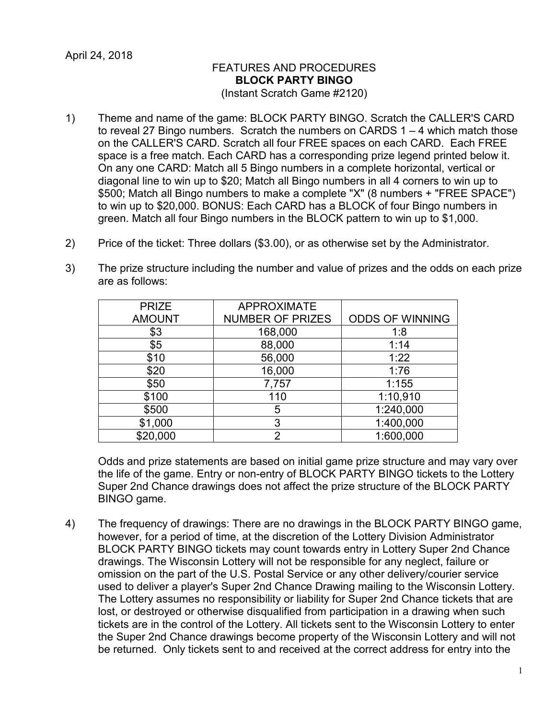## FEATURES AND PROCEDURES **BLOCK PARTY BINGO** (Instant Scratch Game #2120)

- 1) Theme and name of the game: BLOCK PARTY BINGO. Scratch the CALLER'S CARD to reveal 27 Bingo numbers. Scratch the numbers on CARDS 1 – 4 which match those on the CALLER'S CARD. Scratch all four FREE spaces on each CARD. Each FREE space is a free match. Each CARD has a corresponding prize legend printed below it. On any one CARD: Match all 5 Bingo numbers in a complete horizontal, vertical or diagonal line to win up to \$20; Match all Bingo numbers in all 4 corners to win up to \$500; Match all Bingo numbers to make a complete "X" (8 numbers + "FREE SPACE") to win up to \$20,000. BONUS: Each CARD has a BLOCK of four Bingo numbers in green. Match all four Bingo numbers in the BLOCK pattern to win up to \$1,000.
- 2) Price of the ticket: Three dollars (\$3.00), or as otherwise set by the Administrator.
- 3) The prize structure including the number and value of prizes and the odds on each prize are as follows:

| <b>PRIZE</b>  | <b>APPROXIMATE</b>      |                        |
|---------------|-------------------------|------------------------|
| <b>AMOUNT</b> | <b>NUMBER OF PRIZES</b> | <b>ODDS OF WINNING</b> |
| \$3           | 168,000                 | 1:8                    |
| \$5           | 88,000                  | 1:14                   |
| \$10          | 56,000                  | 1:22                   |
| \$20          | 16,000                  | 1:76                   |
| \$50          | 7,757                   | 1:155                  |
| \$100         | 110                     | 1:10,910               |
| \$500         | 5                       | 1:240,000              |
| \$1,000       | 3                       | 1:400,000              |
| \$20,000      | റ                       | 1:600,000              |

Odds and prize statements are based on initial game prize structure and may vary over the life of the game. Entry or non-entry of BLOCK PARTY BINGO tickets to the Lottery Super 2nd Chance drawings does not affect the prize structure of the BLOCK PARTY BINGO game.

4) The frequency of drawings: There are no drawings in the BLOCK PARTY BINGO game, however, for a period of time, at the discretion of the Lottery Division Administrator BLOCK PARTY BINGO tickets may count towards entry in Lottery Super 2nd Chance drawings. The Wisconsin Lottery will not be responsible for any neglect, failure or omission on the part of the U.S. Postal Service or any other delivery/courier service used to deliver a player's Super 2nd Chance Drawing mailing to the Wisconsin Lottery. The Lottery assumes no responsibility or liability for Super 2nd Chance tickets that are lost, or destroyed or otherwise disqualified from participation in a drawing when such tickets are in the control of the Lottery. All tickets sent to the Wisconsin Lottery to enter the Super 2nd Chance drawings become property of the Wisconsin Lottery and will not be returned. Only tickets sent to and received at the correct address for entry into the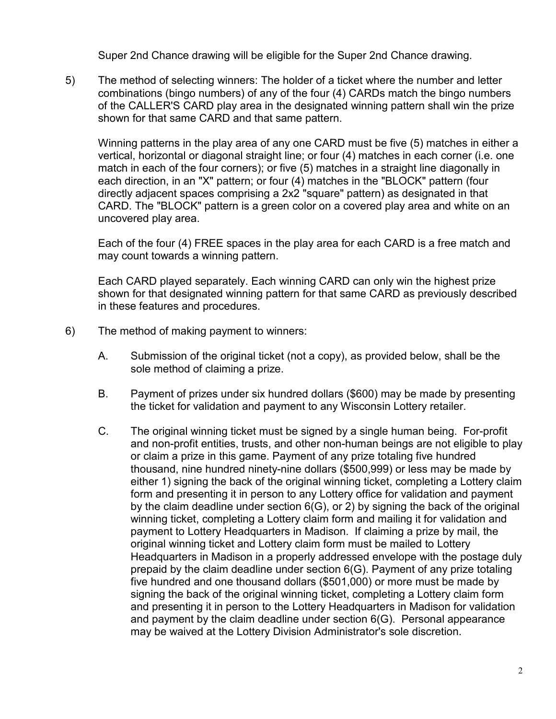Super 2nd Chance drawing will be eligible for the Super 2nd Chance drawing.

5) The method of selecting winners: The holder of a ticket where the number and letter combinations (bingo numbers) of any of the four (4) CARDs match the bingo numbers of the CALLER'S CARD play area in the designated winning pattern shall win the prize shown for that same CARD and that same pattern.

Winning patterns in the play area of any one CARD must be five (5) matches in either a vertical, horizontal or diagonal straight line; or four (4) matches in each corner (i.e. one match in each of the four corners); or five (5) matches in a straight line diagonally in each direction, in an "X" pattern; or four (4) matches in the "BLOCK" pattern (four directly adjacent spaces comprising a 2x2 "square" pattern) as designated in that CARD. The "BLOCK" pattern is a green color on a covered play area and white on an uncovered play area.

Each of the four (4) FREE spaces in the play area for each CARD is a free match and may count towards a winning pattern.

Each CARD played separately. Each winning CARD can only win the highest prize shown for that designated winning pattern for that same CARD as previously described in these features and procedures.

- 6) The method of making payment to winners:
	- A. Submission of the original ticket (not a copy), as provided below, shall be the sole method of claiming a prize.
	- B. Payment of prizes under six hundred dollars (\$600) may be made by presenting the ticket for validation and payment to any Wisconsin Lottery retailer.
	- C. The original winning ticket must be signed by a single human being. For-profit and non-profit entities, trusts, and other non-human beings are not eligible to play or claim a prize in this game. Payment of any prize totaling five hundred thousand, nine hundred ninety-nine dollars (\$500,999) or less may be made by either 1) signing the back of the original winning ticket, completing a Lottery claim form and presenting it in person to any Lottery office for validation and payment by the claim deadline under section 6(G), or 2) by signing the back of the original winning ticket, completing a Lottery claim form and mailing it for validation and payment to Lottery Headquarters in Madison. If claiming a prize by mail, the original winning ticket and Lottery claim form must be mailed to Lottery Headquarters in Madison in a properly addressed envelope with the postage duly prepaid by the claim deadline under section 6(G). Payment of any prize totaling five hundred and one thousand dollars (\$501,000) or more must be made by signing the back of the original winning ticket, completing a Lottery claim form and presenting it in person to the Lottery Headquarters in Madison for validation and payment by the claim deadline under section 6(G). Personal appearance may be waived at the Lottery Division Administrator's sole discretion.